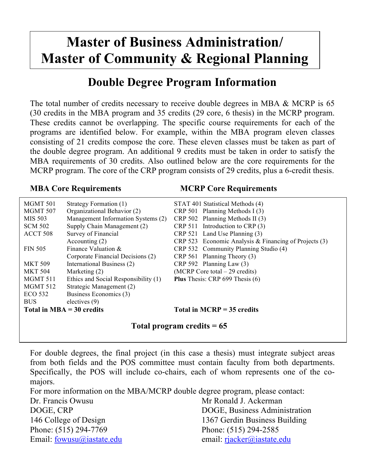# **Master of Business Administration/ Master of Community & Regional Planning**

## **Double Degree Program Information**

The total number of credits necessary to receive double degrees in MBA & MCRP is 65 (30 credits in the MBA program and 35 credits (29 core, 6 thesis) in the MCRP program. These credits cannot be overlapping. The specific course requirements for each of the programs are identified below. For example, within the MBA program eleven classes consisting of 21 credits compose the core. These eleven classes must be taken as part of the double degree program. An additional 9 credits must be taken in order to satisfy the MBA requirements of 30 credits. Also outlined below are the core requirements for the MCRP program. The core of the CRP program consists of 29 credits, plus a 6-credit thesis.

### **MBA Core Requirements MCRP Core Requirements**

| MGMT 501                    | Strategy Formation (1)               | STAT 401 Statistical Methods (4)                        |
|-----------------------------|--------------------------------------|---------------------------------------------------------|
| MGMT 507                    | Organizational Behavior (2)          | CRP 501 Planning Methods I (3)                          |
| MIS 503                     | Management Information Systems (2)   | CRP 502 Planning Methods II (3)                         |
| <b>SCM 502</b>              | Supply Chain Management (2)          | CRP 511 Introduction to CRP (3)                         |
| ACCT 508                    | Survey of Financial                  | CRP 521 Land Use Planning (3)                           |
|                             | Accounting $(2)$                     | CRP 523 Economic Analysis & Financing of Projects $(3)$ |
| <b>FIN 505</b>              | Finance Valuation $&$                | CRP 532 Community Planning Studio (4)                   |
|                             | Corporate Financial Decisions (2)    | CRP 561 Planning Theory (3)                             |
| <b>MKT 509</b>              | International Business (2)           | $CRP 592$ Planning Law $(3)$                            |
| <b>MKT 504</b>              | Marketing $(2)$                      | (MCRP Core total – 29 credits)                          |
| MGMT 511                    | Ethics and Social Responsibility (1) | <b>Plus</b> Thesis: CRP 699 Thesis (6)                  |
| <b>MGMT 512</b>             | Strategic Management (2)             |                                                         |
| ECO 532                     | Business Economics (3)               |                                                         |
| <b>BUS</b>                  | electives (9)                        |                                                         |
| Total in $MBA = 30$ credits |                                      | Total in $MCRP = 35$ credits                            |

## **Total program credits = 65**

For double degrees, the final project (in this case a thesis) must integrate subject areas from both fields and the POS committee must contain faculty from both departments. Specifically, the POS will include co-chairs, each of whom represents one of the comajors.

For more information on the MBA/MCRP double degree program, please contact: Dr. Francis Owusu **Mr Ronald J. Ackerman** DOGE, CRP DOGE, Business Administration 146 College of Design 1367 Gerdin Business Building Phone: (515) 294-7769 Phone: (515) 294-2585 Email: fowusu@iastate.edu email: rjacker@iastate.edu